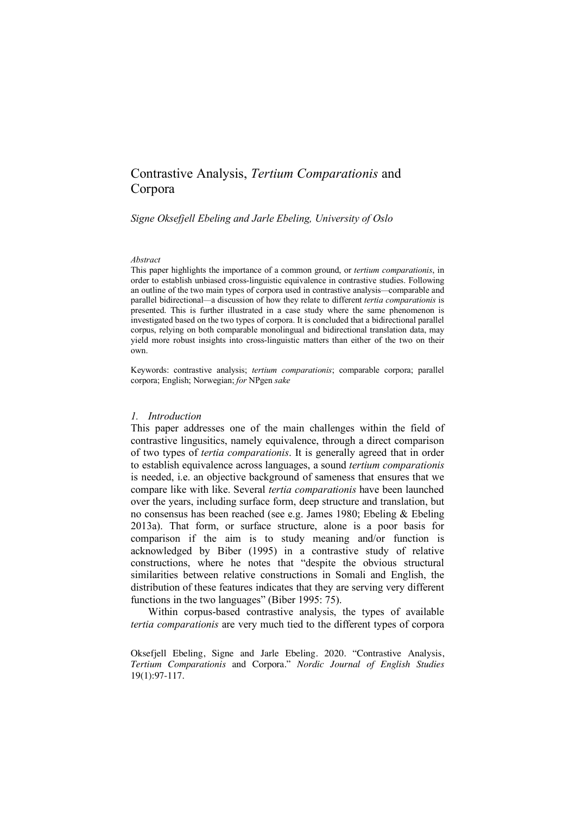# Contrastive Analysis, *Tertium Comparationis* and Corpora

*Signe Oksefjell Ebeling and Jarle Ebeling, University of Oslo*

#### *Abstract*

This paper highlights the importance of a common ground, or *tertium comparationis*, in order to establish unbiased cross-linguistic equivalence in contrastive studies. Following an outline of the two main types of corpora used in contrastive analysis*—*comparable and parallel bidirectional*—*a discussion of how they relate to different *tertia comparationis* is presented. This is further illustrated in a case study where the same phenomenon is investigated based on the two types of corpora. It is concluded that a bidirectional parallel corpus, relying on both comparable monolingual and bidirectional translation data, may yield more robust insights into cross-linguistic matters than either of the two on their own.

Keywords: contrastive analysis; *tertium comparationis*; comparable corpora; parallel corpora; English; Norwegian; *for* NPgen *sake*

#### *1. Introduction*

This paper addresses one of the main challenges within the field of contrastive lingusitics, namely equivalence, through a direct comparison of two types of *tertia comparationis*. It is generally agreed that in order to establish equivalence across languages, a sound *tertium comparationis*  is needed, i.e. an objective background of sameness that ensures that we compare like with like. Several *tertia comparationis* have been launched over the years, including surface form, deep structure and translation, but no consensus has been reached (see e.g. James 1980; Ebeling & Ebeling 2013a). That form, or surface structure, alone is a poor basis for comparison if the aim is to study meaning and/or function is acknowledged by Biber (1995) in a contrastive study of relative constructions, where he notes that "despite the obvious structural similarities between relative constructions in Somali and English, the distribution of these features indicates that they are serving very different functions in the two languages" (Biber 1995: 75).

Within corpus-based contrastive analysis, the types of available *tertia comparationis* are very much tied to the different types of corpora

Oksefjell Ebeling, Signe and Jarle Ebeling. 2020. "Contrastive Analysis, *Tertium Comparationis* and Corpora." *Nordic Journal of English Studies* 19(1):97-117.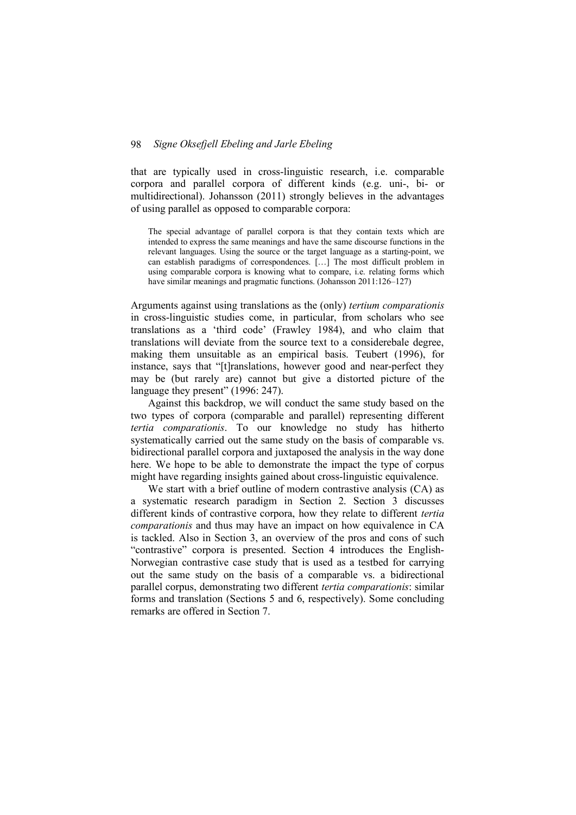that are typically used in cross-linguistic research, i.e. comparable corpora and parallel corpora of different kinds (e.g. uni-, bi- or multidirectional). Johansson (2011) strongly believes in the advantages of using parallel as opposed to comparable corpora:

The special advantage of parallel corpora is that they contain texts which are intended to express the same meanings and have the same discourse functions in the relevant languages. Using the source or the target language as a starting-point, we can establish paradigms of correspondences. […] The most difficult problem in using comparable corpora is knowing what to compare, i.e. relating forms which have similar meanings and pragmatic functions. (Johansson 2011:126–127)

Arguments against using translations as the (only) *tertium comparationis*  in cross-linguistic studies come, in particular, from scholars who see translations as a 'third code' (Frawley 1984), and who claim that translations will deviate from the source text to a considerebale degree, making them unsuitable as an empirical basis. Teubert (1996), for instance, says that "[t]ranslations, however good and near-perfect they may be (but rarely are) cannot but give a distorted picture of the language they present" (1996: 247).

Against this backdrop, we will conduct the same study based on the two types of corpora (comparable and parallel) representing different *tertia comparationis*. To our knowledge no study has hitherto systematically carried out the same study on the basis of comparable vs. bidirectional parallel corpora and juxtaposed the analysis in the way done here. We hope to be able to demonstrate the impact the type of corpus might have regarding insights gained about cross-linguistic equivalence.

We start with a brief outline of modern contrastive analysis (CA) as a systematic research paradigm in Section 2. Section 3 discusses different kinds of contrastive corpora, how they relate to different *tertia comparationis* and thus may have an impact on how equivalence in CA is tackled. Also in Section 3, an overview of the pros and cons of such "contrastive" corpora is presented. Section 4 introduces the English-Norwegian contrastive case study that is used as a testbed for carrying out the same study on the basis of a comparable vs. a bidirectional parallel corpus, demonstrating two different *tertia comparationis*: similar forms and translation (Sections 5 and 6, respectively). Some concluding remarks are offered in Section 7.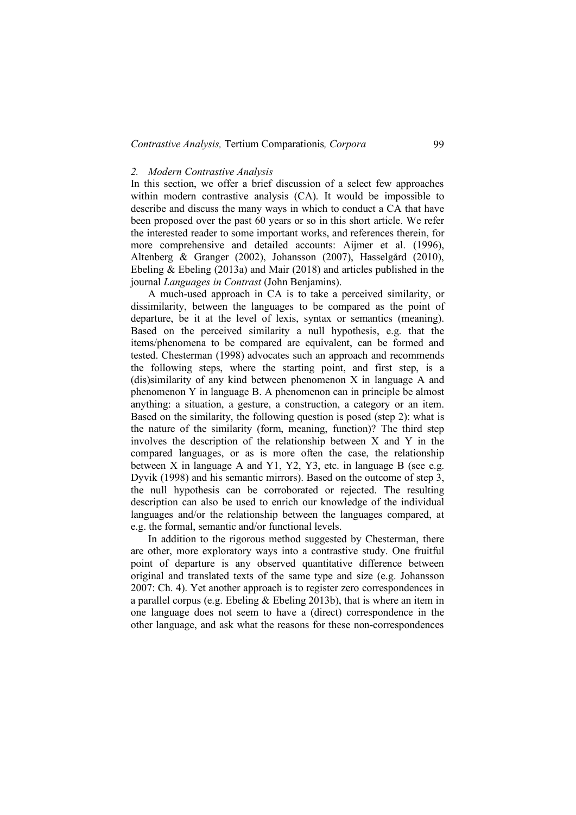# *Contrastive Analysis,* Tertium Comparationis*, Corpora* 99

# *2. Modern Contrastive Analysis*

In this section, we offer a brief discussion of a select few approaches within modern contrastive analysis (CA). It would be impossible to describe and discuss the many ways in which to conduct a CA that have been proposed over the past 60 years or so in this short article. We refer the interested reader to some important works, and references therein, for more comprehensive and detailed accounts: Aijmer et al. (1996), Altenberg & Granger (2002), Johansson (2007), Hasselgård (2010), Ebeling & Ebeling (2013a) and Mair (2018) and articles published in the journal *Languages in Contrast* (John Benjamins).

A much-used approach in CA is to take a perceived similarity, or dissimilarity, between the languages to be compared as the point of departure, be it at the level of lexis, syntax or semantics (meaning). Based on the perceived similarity a null hypothesis, e.g. that the items/phenomena to be compared are equivalent, can be formed and tested. Chesterman (1998) advocates such an approach and recommends the following steps, where the starting point, and first step, is a (dis)similarity of any kind between phenomenon X in language A and phenomenon Y in language B. A phenomenon can in principle be almost anything: a situation, a gesture, a construction, a category or an item. Based on the similarity, the following question is posed (step 2): what is the nature of the similarity (form, meaning, function)? The third step involves the description of the relationship between X and Y in the compared languages, or as is more often the case, the relationship between X in language A and Y1, Y2, Y3, etc. in language B (see e.g. Dyvik (1998) and his semantic mirrors). Based on the outcome of step 3, the null hypothesis can be corroborated or rejected. The resulting description can also be used to enrich our knowledge of the individual languages and/or the relationship between the languages compared, at e.g. the formal, semantic and/or functional levels.

In addition to the rigorous method suggested by Chesterman, there are other, more exploratory ways into a contrastive study. One fruitful point of departure is any observed quantitative difference between original and translated texts of the same type and size (e.g. Johansson 2007: Ch. 4). Yet another approach is to register zero correspondences in a parallel corpus (e.g. Ebeling & Ebeling 2013b), that is where an item in one language does not seem to have a (direct) correspondence in the other language, and ask what the reasons for these non-correspondences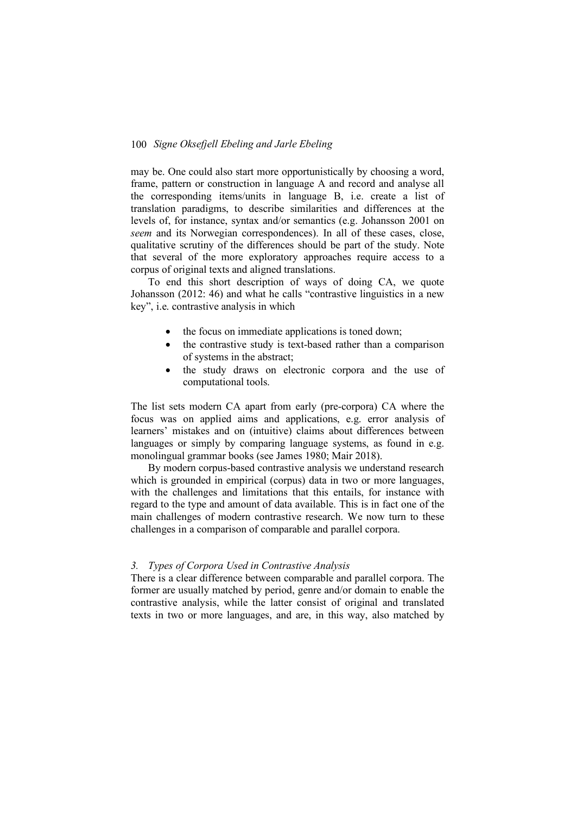may be. One could also start more opportunistically by choosing a word, frame, pattern or construction in language A and record and analyse all the corresponding items/units in language B, i.e. create a list of translation paradigms, to describe similarities and differences at the levels of, for instance, syntax and/or semantics (e.g. Johansson 2001 on *seem* and its Norwegian correspondences). In all of these cases, close, qualitative scrutiny of the differences should be part of the study. Note that several of the more exploratory approaches require access to a corpus of original texts and aligned translations.

To end this short description of ways of doing CA, we quote Johansson (2012: 46) and what he calls "contrastive linguistics in a new key", i.e. contrastive analysis in which

- the focus on immediate applications is toned down;
- the contrastive study is text-based rather than a comparison of systems in the abstract;
- the study draws on electronic corpora and the use of computational tools.

The list sets modern CA apart from early (pre-corpora) CA where the focus was on applied aims and applications, e.g. error analysis of learners' mistakes and on (intuitive) claims about differences between languages or simply by comparing language systems, as found in e.g. monolingual grammar books (see James 1980; Mair 2018).

By modern corpus-based contrastive analysis we understand research which is grounded in empirical (corpus) data in two or more languages, with the challenges and limitations that this entails, for instance with regard to the type and amount of data available. This is in fact one of the main challenges of modern contrastive research. We now turn to these challenges in a comparison of comparable and parallel corpora.

# *3. Types of Corpora Used in Contrastive Analysis*

There is a clear difference between comparable and parallel corpora. The former are usually matched by period, genre and/or domain to enable the contrastive analysis, while the latter consist of original and translated texts in two or more languages, and are, in this way, also matched by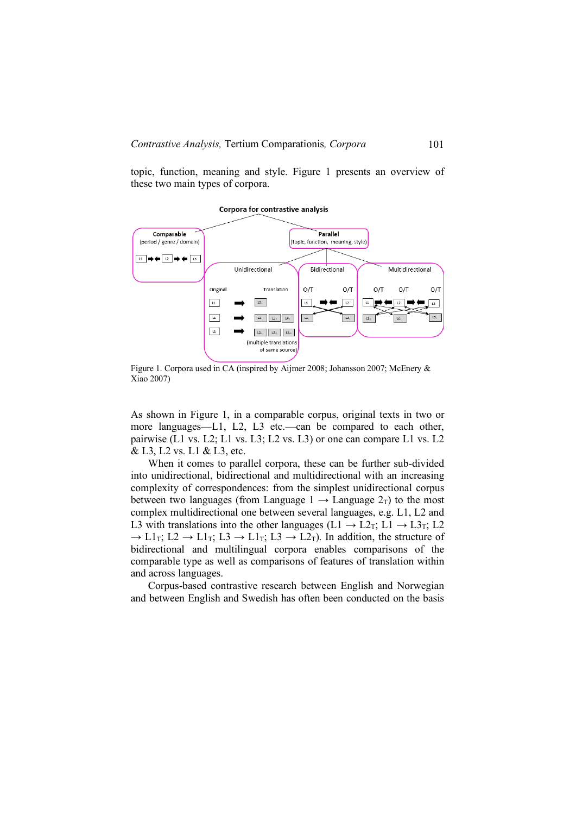topic, function, meaning and style. Figure 1 presents an overview of these two main types of corpora.

#### **Corpora for contrastive analysis**



Figure 1. Corpora used in CA (inspired by Aijmer 2008; Johansson 2007; McEnery & Xiao 2007)

As shown in Figure 1, in a comparable corpus, original texts in two or more languages—L1, L2, L3 etc.—can be compared to each other, pairwise (L1 vs. L2; L1 vs. L3; L2 vs. L3) or one can compare L1 vs. L2 & L3, L2 vs. L1 & L3, etc.

When it comes to parallel corpora, these can be further sub-divided into unidirectional, bidirectional and multidirectional with an increasing complexity of correspondences: from the simplest unidirectional corpus between two languages (from Language  $1 \rightarrow$  Language  $2<sub>T</sub>$ ) to the most complex multidirectional one between several languages, e.g. L1, L2 and L3 with translations into the other languages (L1  $\rightarrow$  L2<sub>T</sub>; L1  $\rightarrow$  L3<sub>T</sub>; L2  $\rightarrow$  L1<sub>T</sub>; L2  $\rightarrow$  L1<sub>T</sub>; L3  $\rightarrow$  L1<sub>T</sub>; L3  $\rightarrow$  L2<sub>T</sub>). In addition, the structure of bidirectional and multilingual corpora enables comparisons of the comparable type as well as comparisons of features of translation within and across languages.

Corpus-based contrastive research between English and Norwegian and between English and Swedish has often been conducted on the basis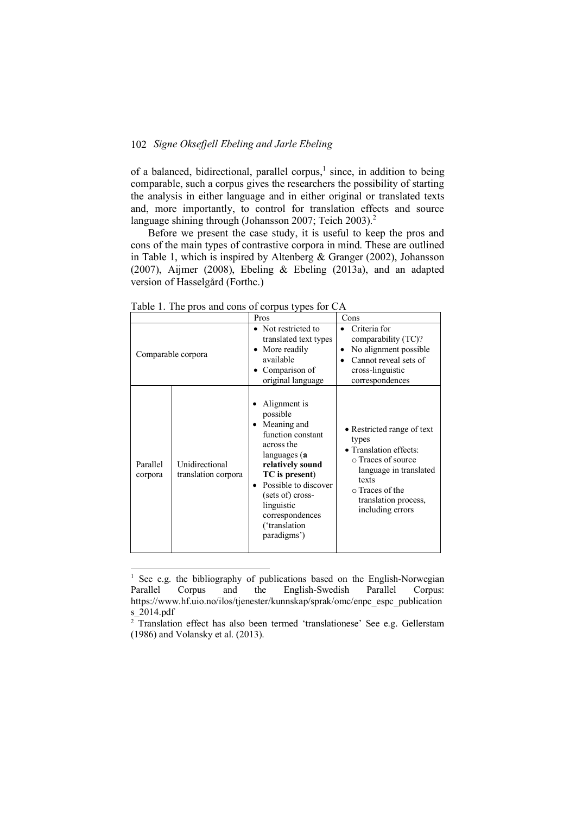of a balanced, bidirectional, parallel corpus,<sup>1</sup> since, in addition to being comparable, such a corpus gives the researchers the possibility of starting the analysis in either language and in either original or translated texts and, more importantly, to control for translation effects and source language shining through (Johansson 2007; Teich 2003).<sup>2</sup>

Before we present the case study, it is useful to keep the pros and cons of the main types of contrastive corpora in mind. These are outlined in Table 1, which is inspired by Altenberg & Granger (2002), Johansson (2007), Aijmer (2008), Ebeling & Ebeling (2013a), and an adapted version of Hasselgård (Forthc.)

| $1400$ c $1.110$ pros and cons of corpus types for $C/T$ |                                       |                                                                                                                                                                                                                                                    |                                                                                                                                                                                       |  |
|----------------------------------------------------------|---------------------------------------|----------------------------------------------------------------------------------------------------------------------------------------------------------------------------------------------------------------------------------------------------|---------------------------------------------------------------------------------------------------------------------------------------------------------------------------------------|--|
|                                                          | Pros                                  |                                                                                                                                                                                                                                                    | Cons                                                                                                                                                                                  |  |
| Comparable corpora                                       |                                       | • Not restricted to<br>translated text types<br>More readily<br>available<br>Comparison of<br>original language                                                                                                                                    | Criteria for<br>comparability (TC)?<br>No alignment possible.<br>Cannot reveal sets of<br>cross-linguistic<br>correspondences                                                         |  |
| Parallel<br>corpora                                      | Unidirectional<br>translation corpora | Alignment is<br>possible<br>Meaning and<br>function constant<br>across the<br>languages (a<br>relatively sound<br>TC is present)<br>Possible to discover<br>٠<br>(sets of) cross-<br>linguistic<br>correspondences<br>('translation<br>paradigms') | • Restricted range of text<br>types<br>• Translation effects:<br>○ Traces of source<br>language in translated<br>texts<br>o Traces of the<br>translation process,<br>including errors |  |

Table 1. The pros and cons of corpus types for  $\Gamma \Delta$ 

<sup>&</sup>lt;sup>1</sup> See e.g. the bibliography of publications based on the English-Norwegian Parallel Corpus and the English-Swedish Parallel Corpus: https://www.hf.uio.no/ilos/tjenester/kunnskap/sprak/omc/enpc\_espc\_publication s\_2014.pdf

 $2$ <sup>T</sup>Translation effect has also been termed 'translationese' See e.g. Gellerstam (1986) and Volansky et al. (2013).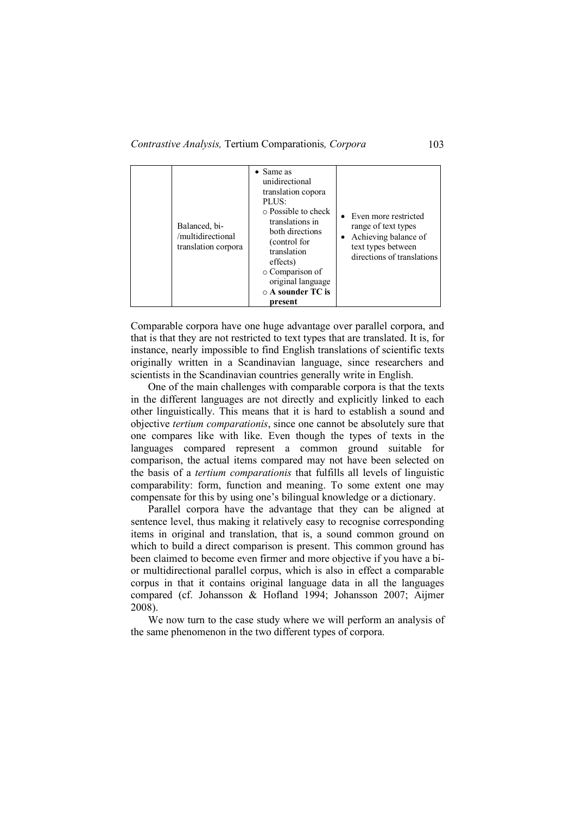*Contrastive Analysis,* Tertium Comparationis*, Corpora* 103

|  | Balanced, bi-<br>/multidirectional<br>translation corpora | $\bullet$ Same as<br>unidirectional<br>translation copora<br>PLUS:<br>$\circ$ Possible to check<br>translations in<br>both directions<br>(control for<br>translation<br>effects)<br>o Comparison of<br>original language<br>$\circ$ A sounder TC is<br>present | • Even more restricted<br>range of text types<br>Achieving balance of<br>$\bullet$<br>text types between<br>directions of translations |
|--|-----------------------------------------------------------|----------------------------------------------------------------------------------------------------------------------------------------------------------------------------------------------------------------------------------------------------------------|----------------------------------------------------------------------------------------------------------------------------------------|
|--|-----------------------------------------------------------|----------------------------------------------------------------------------------------------------------------------------------------------------------------------------------------------------------------------------------------------------------------|----------------------------------------------------------------------------------------------------------------------------------------|

Comparable corpora have one huge advantage over parallel corpora, and that is that they are not restricted to text types that are translated. It is, for instance, nearly impossible to find English translations of scientific texts originally written in a Scandinavian language, since researchers and scientists in the Scandinavian countries generally write in English.

One of the main challenges with comparable corpora is that the texts in the different languages are not directly and explicitly linked to each other linguistically. This means that it is hard to establish a sound and objective *tertium comparationis*, since one cannot be absolutely sure that one compares like with like. Even though the types of texts in the languages compared represent a common ground suitable for comparison, the actual items compared may not have been selected on the basis of a *tertium comparationis* that fulfills all levels of linguistic comparability: form, function and meaning. To some extent one may compensate for this by using one's bilingual knowledge or a dictionary.

Parallel corpora have the advantage that they can be aligned at sentence level, thus making it relatively easy to recognise corresponding items in original and translation, that is, a sound common ground on which to build a direct comparison is present. This common ground has been claimed to become even firmer and more objective if you have a bior multidirectional parallel corpus, which is also in effect a comparable corpus in that it contains original language data in all the languages compared (cf. Johansson & Hofland 1994; Johansson 2007; Aijmer 2008).

We now turn to the case study where we will perform an analysis of the same phenomenon in the two different types of corpora.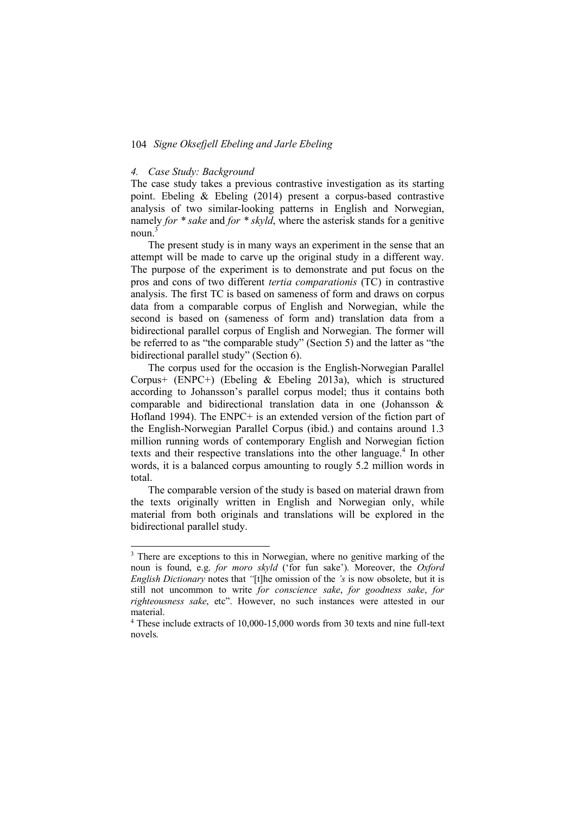#### *4. Case Study: Background*

The case study takes a previous contrastive investigation as its starting point. Ebeling & Ebeling (2014) present a corpus-based contrastive analysis of two similar-looking patterns in English and Norwegian, namely *for \* sake* and *for \* skyld*, where the asterisk stands for a genitive noun.<sup>3</sup>

The present study is in many ways an experiment in the sense that an attempt will be made to carve up the original study in a different way. The purpose of the experiment is to demonstrate and put focus on the pros and cons of two different *tertia comparationis* (TC) in contrastive analysis. The first TC is based on sameness of form and draws on corpus data from a comparable corpus of English and Norwegian, while the second is based on (sameness of form and) translation data from a bidirectional parallel corpus of English and Norwegian. The former will be referred to as "the comparable study" (Section 5) and the latter as "the bidirectional parallel study" (Section 6).

The corpus used for the occasion is the English-Norwegian Parallel Corpus+ (ENPC+) (Ebeling & Ebeling 2013a), which is structured according to Johansson's parallel corpus model; thus it contains both comparable and bidirectional translation data in one (Johansson & Hofland 1994). The ENPC+ is an extended version of the fiction part of the English-Norwegian Parallel Corpus (ibid.) and contains around 1.3 million running words of contemporary English and Norwegian fiction texts and their respective translations into the other language.<sup>4</sup> In other words, it is a balanced corpus amounting to rougly 5.2 million words in total.

The comparable version of the study is based on material drawn from the texts originally written in English and Norwegian only, while material from both originals and translations will be explored in the bidirectional parallel study.

<sup>&</sup>lt;sup>3</sup> There are exceptions to this in Norwegian, where no genitive marking of the noun is found, e.g. *for moro skyld* (ʻfor fun sake'). Moreover, the *Oxford English Dictionary* notes that *"*[t]he omission of the *'s* is now obsolete, but it is still not uncommon to write *for conscience sake*, *for goodness sake*, *for*  righteousness sake, etc". However, no such instances were attested in our material.

<sup>4</sup> These include extracts of 10,000-15,000 words from 30 texts and nine full-text novels.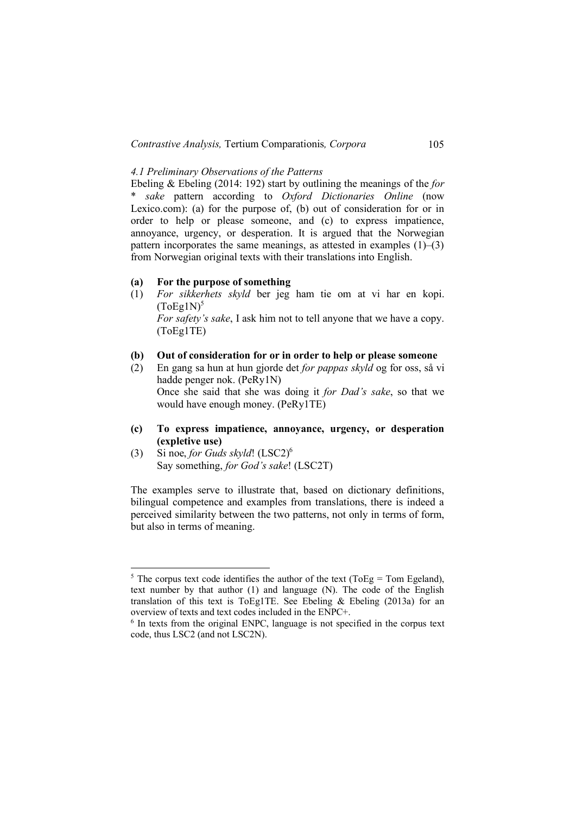# *4.1 Preliminary Observations of the Patterns*

Ebeling & Ebeling (2014: 192) start by outlining the meanings of the *for* \* *sake* pattern according to *Oxford Dictionaries Online* (now Lexico.com): (a) for the purpose of, (b) out of consideration for or in order to help or please someone, and (c) to express impatience, annoyance, urgency, or desperation. It is argued that the Norwegian pattern incorporates the same meanings, as attested in examples  $(1)$ – $(3)$ from Norwegian original texts with their translations into English.

# **(a) For the purpose of something**

(1) *For sikkerhets skyld* ber jeg ham tie om at vi har en kopi.  $(ToEg1N)^5$ 

*For safety's sake*, I ask him not to tell anyone that we have a copy. (ToEg1TE)

### **(b) Out of consideration for or in order to help or please someone**

- (2) En gang sa hun at hun gjorde det *for pappas skyld* og for oss, så vi hadde penger nok. (PeRy1N) Once she said that she was doing it *for Dad's sake*, so that we would have enough money. (PeRy1TE)
- **(c) To express impatience, annoyance, urgency, or desperation (expletive use)**
- (3) Si noe, *for Guds skyld*! (LSC2)6 Say something, *for God's sake*! (LSC2T)

The examples serve to illustrate that, based on dictionary definitions, bilingual competence and examples from translations, there is indeed a perceived similarity between the two patterns, not only in terms of form, but also in terms of meaning.

<sup>&</sup>lt;sup>5</sup> The corpus text code identifies the author of the text (ToEg = Tom Egeland). text number by that author (1) and language (N). The code of the English translation of this text is ToEg1TE. See Ebeling  $\&$  Ebeling (2013a) for an overview of texts and text codes included in the ENPC+.

<sup>6</sup> In texts from the original ENPC, language is not specified in the corpus text code, thus LSC2 (and not LSC2N).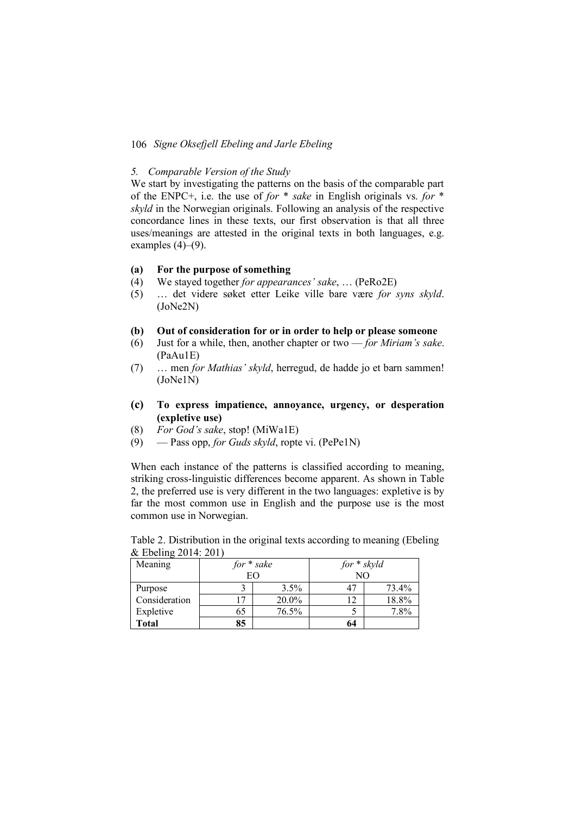# *5. Comparable Version of the Study*

We start by investigating the patterns on the basis of the comparable part of the ENPC+, i.e. the use of *for* \* *sake* in English originals vs. *for* \* *skyld* in the Norwegian originals. Following an analysis of the respective concordance lines in these texts, our first observation is that all three uses/meanings are attested in the original texts in both languages, e.g. examples  $(4)$ – $(9)$ .

# **(a) For the purpose of something**

- (4) We stayed together *for appearances' sake*, … (PeRo2E)
- (5) … det videre søket etter Leike ville bare være *for syns skyld*. (JoNe2N)

#### **(b) Out of consideration for or in order to help or please someone**

- (6) Just for a while, then, another chapter or two *for Miriam's sake*. (PaAu1E)
- (7) … men *for Mathias' skyld*, herregud, de hadde jo et barn sammen! (JoNe1N)
- **(c) To express impatience, annoyance, urgency, or desperation (expletive use)**
- (8) *For God's sake*, stop! (MiWa1E)
- (9) Pass opp, *for Guds skyld*, ropte vi. (PePe1N)

When each instance of the patterns is classified according to meaning, striking cross-linguistic differences become apparent. As shown in Table 2, the preferred use is very different in the two languages: expletive is by far the most common use in English and the purpose use is the most common use in Norwegian.

| Meaning       | $for * sake$   |         | $for * skyld$ |       |
|---------------|----------------|---------|---------------|-------|
|               | EΟ             |         | NΟ            |       |
| Purpose       |                | $3.5\%$ |               | 73.4% |
| Consideration | $\mathsf{L}^7$ | 20.0%   |               | 18.8% |
| Expletive     | 65             | 76.5%   |               | 7.8%  |
| <b>Total</b>  | 85             |         | 64            |       |

Table 2. Distribution in the original texts according to meaning (Ebeling & Ebeling 2014: 201)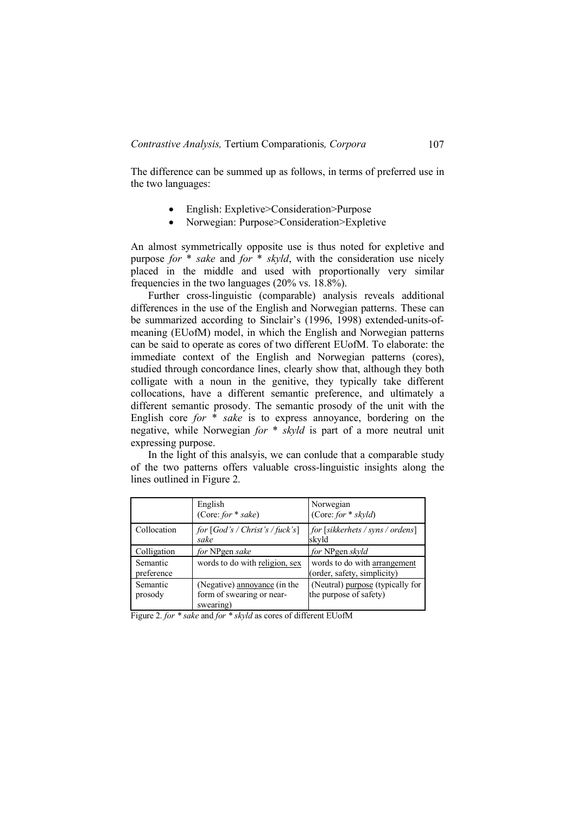The difference can be summed up as follows, in terms of preferred use in the two languages:

- English: Expletive>Consideration>Purpose
- Norwegian: Purpose>Consideration>Expletive

An almost symmetrically opposite use is thus noted for expletive and purpose *for* \* *sake* and *for* \* *skyld*, with the consideration use nicely placed in the middle and used with proportionally very similar frequencies in the two languages (20% vs. 18.8%).

Further cross-linguistic (comparable) analysis reveals additional differences in the use of the English and Norwegian patterns. These can be summarized according to Sinclair's (1996, 1998) extended-units-ofmeaning (EUofM) model, in which the English and Norwegian patterns can be said to operate as cores of two different EUofM. To elaborate: the immediate context of the English and Norwegian patterns (cores), studied through concordance lines, clearly show that, although they both colligate with a noun in the genitive, they typically take different collocations, have a different semantic preference, and ultimately a different semantic prosody. The semantic prosody of the unit with the English core *for* \* *sake* is to express annoyance, bordering on the negative, while Norwegian *for* \* *skyld* is part of a more neutral unit expressing purpose.

In the light of this analsyis, we can conlude that a comparable study of the two patterns offers valuable cross-linguistic insights along the lines outlined in Figure 2.

|                        | English<br>(Core: for $*$ sake)                                        | Norwegian<br>(Core: for $*$ skyld)                          |
|------------------------|------------------------------------------------------------------------|-------------------------------------------------------------|
| Collocation            | for $[God's / Christ's / fuck's]$<br>sake                              | for [sikkerhets / syns / ordens]<br>skyld                   |
| Colligation            | for NPgen sake                                                         | for NPgen skyld                                             |
| Semantic<br>preference | words to do with religion, sex                                         | words to do with arrangement<br>(order, safety, simplicity) |
| Semantic<br>prosody    | (Negative) annoyance (in the<br>form of swearing or near-<br>swearing) | (Neutral) purpose (typically for<br>the purpose of safety)  |

Figure 2. *for \* sake* and *for \* skyld* as cores of different EUofM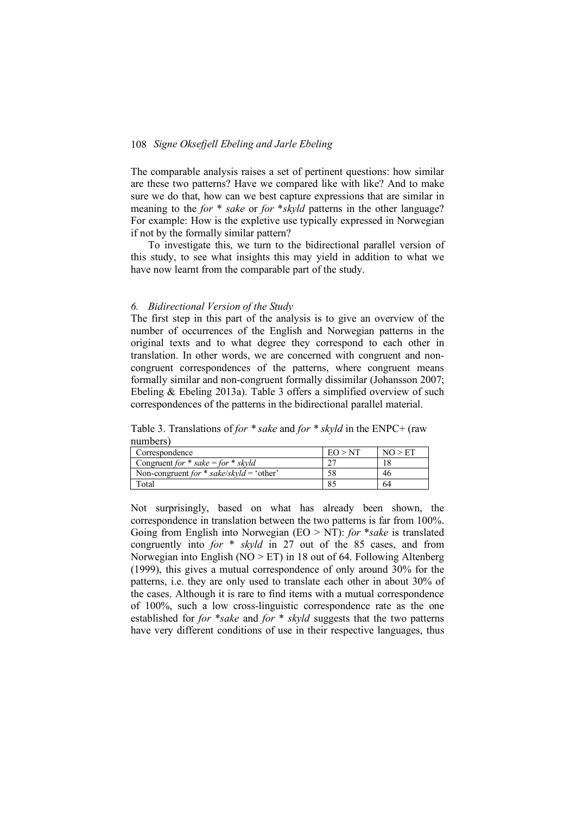The comparable analysis raises a set of pertinent questions: how similar are these two patterns? Have we compared like with like? And to make sure we do that, how can we best capture expressions that are similar in meaning to the *for* \* *sake* or *for* \**skyld* patterns in the other language? For example: How is the expletive use typically expressed in Norwegian if not by the formally similar pattern?

To investigate this, we turn to the bidirectional parallel version of this study, to see what insights this may yield in addition to what we have now learnt from the comparable part of the study.

#### *6. Bidirectional Version of the Study*

The first step in this part of the analysis is to give an overview of the number of occurrences of the English and Norwegian patterns in the original texts and to what degree they correspond to each other in translation. In other words, we are concerned with congruent and noncongruent correspondences of the patterns, where congruent means formally similar and non-congruent formally dissimilar (Johansson 2007; Ebeling & Ebeling 2013a). Table 3 offers a simplified overview of such correspondences of the patterns in the bidirectional parallel material.

Table 3. Translations of *for \* sake* and *for \* skyld* in the ENPC+ (raw numbers)

| Correspondence                           | EQ > NT | NO > FT |
|------------------------------------------|---------|---------|
| Congruent for $*$ sake = for $*$ skyld   |         |         |
| Non-congruent for * sake/skyld = 'other' |         | 46      |
| Total                                    |         | 64      |

Not surprisingly, based on what has already been shown, the correspondence in translation between the two patterns is far from 100%. Going from English into Norwegian (EO > NT): *for* \**sake* is translated congruently into *for* \* *skyld* in 27 out of the 85 cases, and from Norwegian into English ( $NO > ET$ ) in 18 out of 64. Following Altenberg (1999), this gives a mutual correspondence of only around 30% for the patterns, i.e. they are only used to translate each other in about 30% of the cases. Although it is rare to find items with a mutual correspondence of 100%, such a low cross-linguistic correspondence rate as the one established for *for* \**sake* and *for* \* *skyld* suggests that the two patterns have very different conditions of use in their respective languages, thus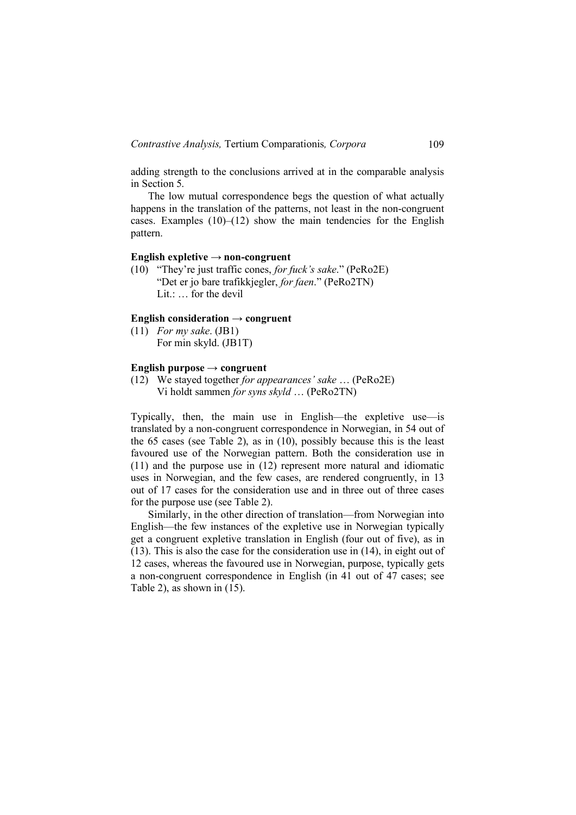adding strength to the conclusions arrived at in the comparable analysis in Section 5.

The low mutual correspondence begs the question of what actually happens in the translation of the patterns, not least in the non-congruent cases. Examples  $(10)$ – $(12)$  show the main tendencies for the English pattern.

#### **English expletive → non-congruent**

(10) "They're just traffic cones, *for fuck's sake*." (PeRo2E) "Det er jo bare trafikkjegler, *for faen*." (PeRo2TN) Lit.: . . . for the devil

# **English consideration → congruent**

(11) *For my sake*. (JB1) For min skyld. (JB1T)

### **English purpose → congruent**

(12) We stayed together *for appearances' sake* … (PeRo2E) Vi holdt sammen *for syns skyld* … (PeRo2TN)

Typically, then, the main use in English—the expletive use—is translated by a non-congruent correspondence in Norwegian, in 54 out of the 65 cases (see Table 2), as in (10), possibly because this is the least favoured use of the Norwegian pattern. Both the consideration use in (11) and the purpose use in (12) represent more natural and idiomatic uses in Norwegian, and the few cases, are rendered congruently, in 13 out of 17 cases for the consideration use and in three out of three cases for the purpose use (see Table 2).

Similarly, in the other direction of translation—from Norwegian into English—the few instances of the expletive use in Norwegian typically get a congruent expletive translation in English (four out of five), as in (13). This is also the case for the consideration use in (14), in eight out of 12 cases, whereas the favoured use in Norwegian, purpose, typically gets a non-congruent correspondence in English (in 41 out of 47 cases; see Table 2), as shown in (15).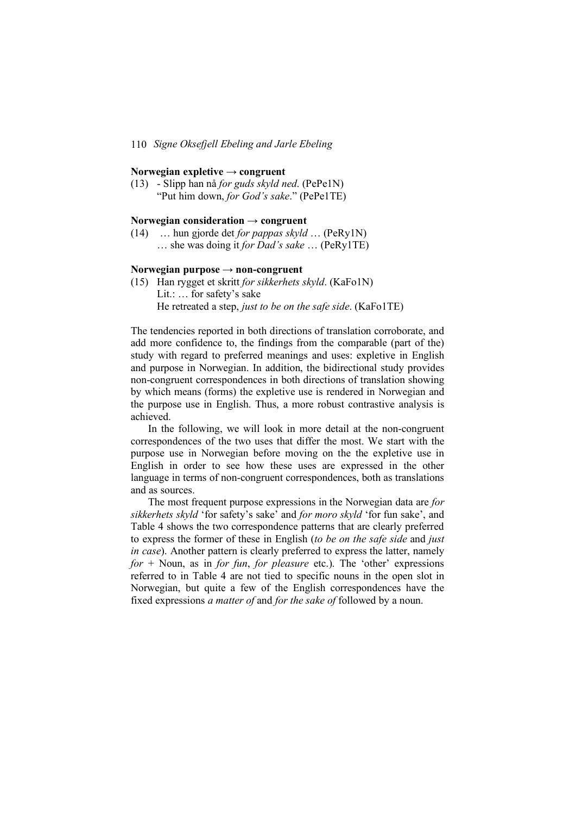# **Norwegian expletive → congruent**

(13) - Slipp han nå *for guds skyld ned*. (PePe1N) "Put him down, *for God's sake*." (PePe1TE)

# **Norwegian consideration → congruent**

(14) … hun gjorde det *for pappas skyld* … (PeRy1N) … she was doing it *for Dad's sake* … (PeRy1TE)

# **Norwegian purpose → non-congruent**

(15) Han rygget et skritt *for sikkerhets skyld*. (KaFo1N) Lit.: … for safety's sake He retreated a step, *just to be on the safe side*. (KaFo1TE)

The tendencies reported in both directions of translation corroborate, and add more confidence to, the findings from the comparable (part of the) study with regard to preferred meanings and uses: expletive in English and purpose in Norwegian. In addition, the bidirectional study provides non-congruent correspondences in both directions of translation showing by which means (forms) the expletive use is rendered in Norwegian and the purpose use in English. Thus, a more robust contrastive analysis is achieved.

In the following, we will look in more detail at the non-congruent correspondences of the two uses that differ the most. We start with the purpose use in Norwegian before moving on the the expletive use in English in order to see how these uses are expressed in the other language in terms of non-congruent correspondences, both as translations and as sources.

The most frequent purpose expressions in the Norwegian data are *for sikkerhets skyld* 'for safety's sake' and *for moro skyld* 'for fun sake', and Table 4 shows the two correspondence patterns that are clearly preferred to express the former of these in English (*to be on the safe side* and *just in case*). Another pattern is clearly preferred to express the latter, namely *for* + Noun, as in *for fun*, *for pleasure* etc.). The 'other' expressions referred to in Table 4 are not tied to specific nouns in the open slot in Norwegian, but quite a few of the English correspondences have the fixed expressions *a matter of* and *for the sake of* followed by a noun.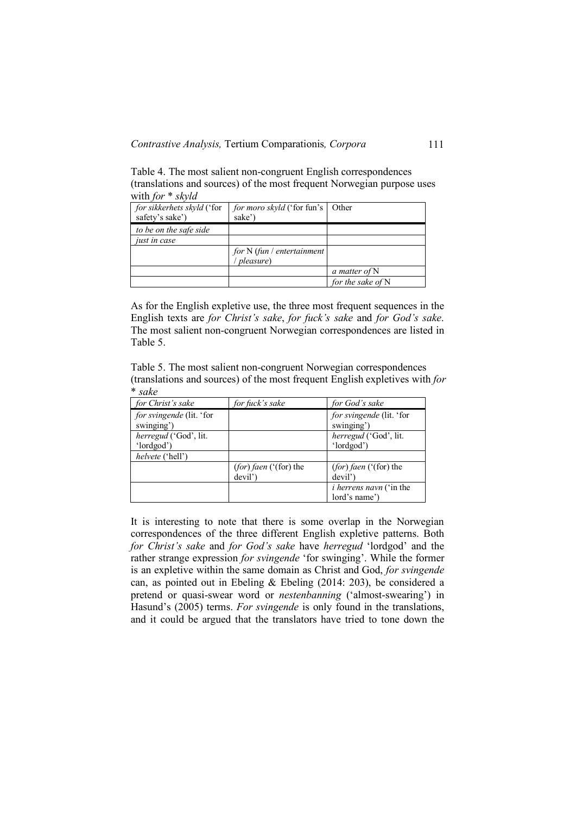Table 4. The most salient non-congruent English correspondences (translations and sources) of the most frequent Norwegian purpose uses with *for* \* *skyld*

| for sikkerhets skyld ('for<br>safety's sake') | <i>for moro skyld</i> ('for fun's<br>sake') | Other               |
|-----------------------------------------------|---------------------------------------------|---------------------|
| to be on the safe side                        |                                             |                     |
| just in case                                  |                                             |                     |
|                                               | for $N$ (fun / entertainment                |                     |
|                                               | <i>pleasure</i> )                           |                     |
|                                               |                                             | a matter of N       |
|                                               |                                             | for the sake of $N$ |

As for the English expletive use, the three most frequent sequences in the English texts are *for Christ's sake*, *for fuck's sake* and *for God's sake*. The most salient non-congruent Norwegian correspondences are listed in Table 5.

Table 5. The most salient non-congruent Norwegian correspondences (translations and sources) of the most frequent English expletives with *for* \* *sake*

| for Christ's sake                      | for fuck's sake                   | for God's sake                                  |
|----------------------------------------|-----------------------------------|-------------------------------------------------|
| for svingende (lit. 'for<br>swinging') |                                   | for svingende (lit. 'for<br>swinging')          |
| herregud ('God', lit.<br>'lordgod')    |                                   | herregud ('God', lit.<br>'lordgod')             |
| <i>helvete</i> ('hell')                |                                   |                                                 |
|                                        | (for) faen ('(for) the<br>devil') | $(for)$ faen $('for)$ the<br>devil')            |
|                                        |                                   | <i>i herrens navn</i> ('in the<br>lord's name') |

It is interesting to note that there is some overlap in the Norwegian correspondences of the three different English expletive patterns. Both *for Christ's sake* and *for God's sake* have *herregud* 'lordgod' and the rather strange expression *for svingende* 'for swinging'. While the former is an expletive within the same domain as Christ and God, *for svingende* can, as pointed out in Ebeling & Ebeling (2014: 203), be considered a pretend or quasi-swear word or *nestenbanning* ('almost-swearing') in Hasund's (2005) terms. *For svingende* is only found in the translations, and it could be argued that the translators have tried to tone down the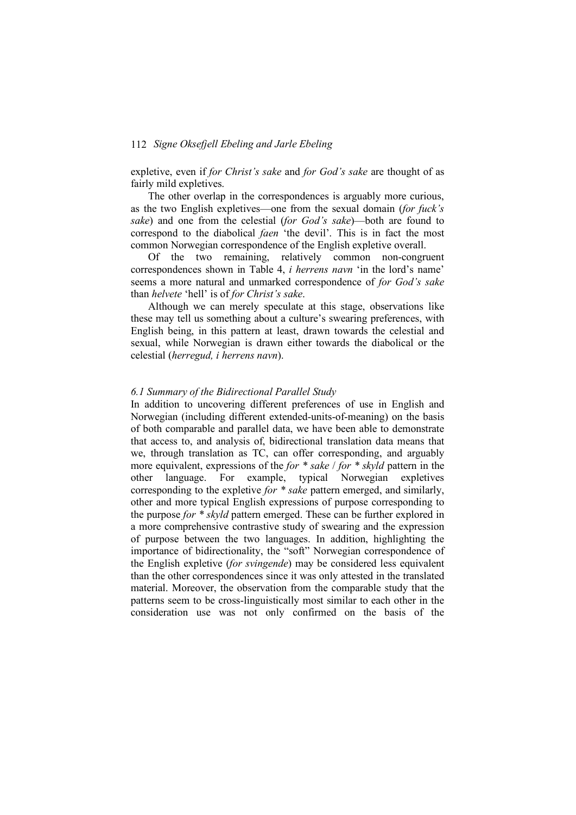expletive, even if *for Christ's sake* and *for God's sake* are thought of as fairly mild expletives.

The other overlap in the correspondences is arguably more curious, as the two English expletives—one from the sexual domain (*for fuck's sake*) and one from the celestial (*for God's sake*)—both are found to correspond to the diabolical *faen* 'the devil'. This is in fact the most common Norwegian correspondence of the English expletive overall.

Of the two remaining, relatively common non-congruent correspondences shown in Table 4, *i herrens navn* 'in the lord's name' seems a more natural and unmarked correspondence of *for God's sake* than *helvete* 'hell' is of *for Christ's sake*.

Although we can merely speculate at this stage, observations like these may tell us something about a culture's swearing preferences, with English being, in this pattern at least, drawn towards the celestial and sexual, while Norwegian is drawn either towards the diabolical or the celestial (*herregud, i herrens navn*).

### *6.1 Summary of the Bidirectional Parallel Study*

In addition to uncovering different preferences of use in English and Norwegian (including different extended-units-of-meaning) on the basis of both comparable and parallel data, we have been able to demonstrate that access to, and analysis of, bidirectional translation data means that we, through translation as TC, can offer corresponding, and arguably more equivalent, expressions of the *for \* sake* / *for \* skyld* pattern in the other language. For example, typical Norwegian expletives corresponding to the expletive *for \* sake* pattern emerged, and similarly, other and more typical English expressions of purpose corresponding to the purpose *for \* skyld* pattern emerged. These can be further explored in a more comprehensive contrastive study of swearing and the expression of purpose between the two languages. In addition, highlighting the importance of bidirectionality, the "soft" Norwegian correspondence of the English expletive (*for svingende*) may be considered less equivalent than the other correspondences since it was only attested in the translated material. Moreover, the observation from the comparable study that the patterns seem to be cross-linguistically most similar to each other in the consideration use was not only confirmed on the basis of the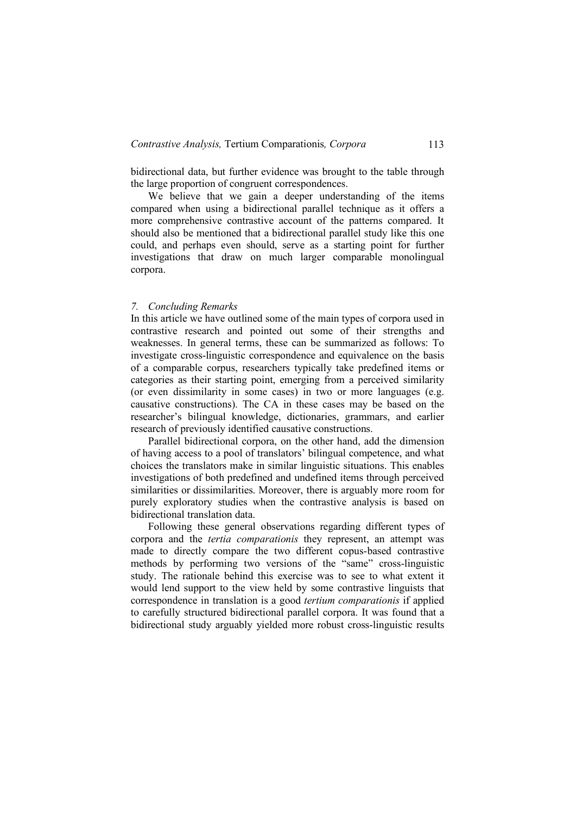bidirectional data, but further evidence was brought to the table through the large proportion of congruent correspondences.

We believe that we gain a deeper understanding of the items compared when using a bidirectional parallel technique as it offers a more comprehensive contrastive account of the patterns compared. It should also be mentioned that a bidirectional parallel study like this one could, and perhaps even should, serve as a starting point for further investigations that draw on much larger comparable monolingual corpora.

#### *7. Concluding Remarks*

In this article we have outlined some of the main types of corpora used in contrastive research and pointed out some of their strengths and weaknesses. In general terms, these can be summarized as follows: To investigate cross-linguistic correspondence and equivalence on the basis of a comparable corpus, researchers typically take predefined items or categories as their starting point, emerging from a perceived similarity (or even dissimilarity in some cases) in two or more languages (e.g. causative constructions). The CA in these cases may be based on the researcher's bilingual knowledge, dictionaries, grammars, and earlier research of previously identified causative constructions.

Parallel bidirectional corpora, on the other hand, add the dimension of having access to a pool of translators' bilingual competence, and what choices the translators make in similar linguistic situations. This enables investigations of both predefined and undefined items through perceived similarities or dissimilarities. Moreover, there is arguably more room for purely exploratory studies when the contrastive analysis is based on bidirectional translation data.

Following these general observations regarding different types of corpora and the *tertia comparationis* they represent, an attempt was made to directly compare the two different copus-based contrastive methods by performing two versions of the "same" cross-linguistic study. The rationale behind this exercise was to see to what extent it would lend support to the view held by some contrastive linguists that correspondence in translation is a good *tertium comparationis* if applied to carefully structured bidirectional parallel corpora. It was found that a bidirectional study arguably yielded more robust cross-linguistic results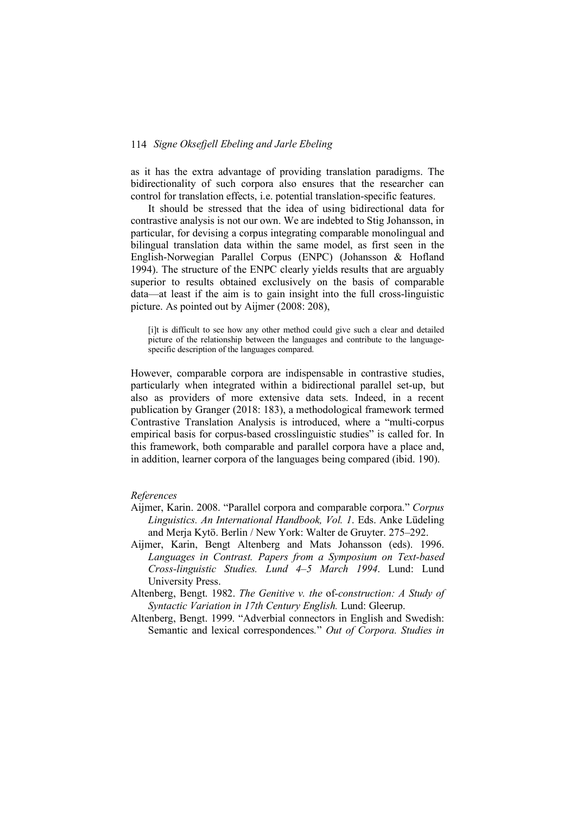as it has the extra advantage of providing translation paradigms. The bidirectionality of such corpora also ensures that the researcher can control for translation effects, i.e. potential translation-specific features.

It should be stressed that the idea of using bidirectional data for contrastive analysis is not our own. We are indebted to Stig Johansson, in particular, for devising a corpus integrating comparable monolingual and bilingual translation data within the same model, as first seen in the English-Norwegian Parallel Corpus (ENPC) (Johansson & Hofland 1994). The structure of the ENPC clearly yields results that are arguably superior to results obtained exclusively on the basis of comparable data—at least if the aim is to gain insight into the full cross-linguistic picture. As pointed out by Aijmer (2008: 208),

[i]t is difficult to see how any other method could give such a clear and detailed picture of the relationship between the languages and contribute to the languagespecific description of the languages compared.

However, comparable corpora are indispensable in contrastive studies, particularly when integrated within a bidirectional parallel set-up, but also as providers of more extensive data sets. Indeed, in a recent publication by Granger (2018: 183), a methodological framework termed Contrastive Translation Analysis is introduced, where a "multi-corpus empirical basis for corpus-based crosslinguistic studies" is called for. In this framework, both comparable and parallel corpora have a place and, in addition, learner corpora of the languages being compared (ibid. 190).

# *References*

- Aijmer, Karin. 2008. "Parallel corpora and comparable corpora." *Corpus Linguistics. An International Handbook, Vol. 1*. Eds. Anke Lüdeling and Merja Kytö. Berlin / New York: Walter de Gruyter. 275–292.
- Aijmer, Karin, Bengt Altenberg and Mats Johansson (eds). 1996. *Languages in Contrast. Papers from a Symposium on Text-based Cross-linguistic Studies. Lund 4–5 March 1994*. Lund: Lund University Press.
- Altenberg, Bengt. 1982. *The Genitive v. the* of*-construction: A Study of Syntactic Variation in 17th Century English.* Lund: Gleerup.
- Altenberg, Bengt. 1999. "Adverbial connectors in English and Swedish: Semantic and lexical correspondences*.*" *Out of Corpora. Studies in*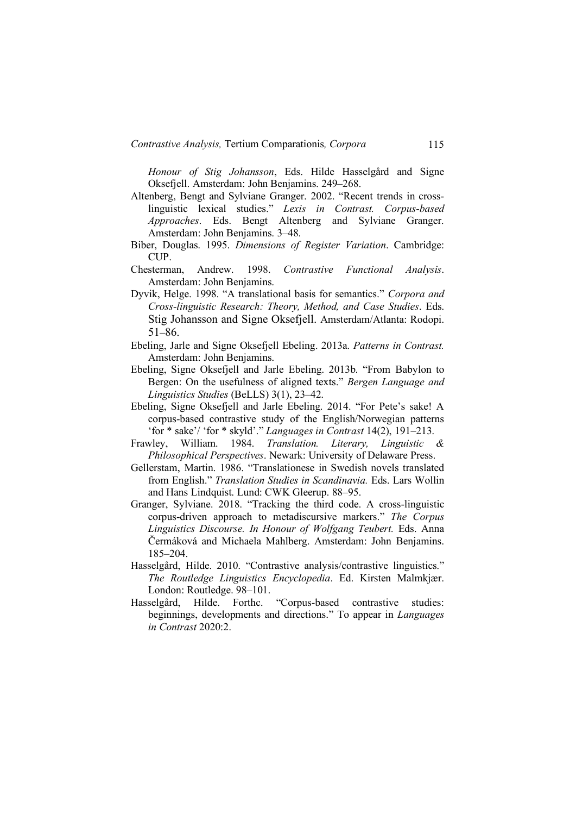*Honour of Stig Johansson*, Eds. Hilde Hasselgård and Signe Oksefjell. Amsterdam: John Benjamins. 249–268.

- Altenberg, Bengt and Sylviane Granger. 2002. "Recent trends in crosslinguistic lexical studies." *Lexis in Contrast. Corpus-based Approaches*. Eds. Bengt Altenberg and Sylviane Granger. Amsterdam: John Benjamins. 3–48.
- Biber, Douglas. 1995. *Dimensions of Register Variation*. Cambridge: CUP.
- Chesterman, Andrew. 1998. *Contrastive Functional Analysis*. Amsterdam: John Benjamins.
- Dyvik, Helge. 1998. "A translational basis for semantics." *Corpora and Cross-linguistic Research: Theory, Method, and Case Studies*. Eds. Stig Johansson and Signe Oksefjell. Amsterdam/Atlanta: Rodopi. 51–86.
- Ebeling, Jarle and Signe Oksefjell Ebeling. 2013a. *Patterns in Contrast.* Amsterdam: John Benjamins.
- Ebeling, Signe Oksefjell and Jarle Ebeling. 2013b. "From Babylon to Bergen: On the usefulness of aligned texts." *Bergen Language and Linguistics Studies* (BeLLS) 3(1), 23–42.
- Ebeling, Signe Oksefjell and Jarle Ebeling. 2014. "For Pete's sake! A corpus-based contrastive study of the English/Norwegian patterns 'for \* sake'/ 'for \* skyld'." *Languages in Contrast* 14(2), 191–213.
- Frawley, William. 1984. *Translation. Literary, Linguistic & Philosophical Perspectives*. Newark: University of Delaware Press.
- Gellerstam, Martin. 1986. "Translationese in Swedish novels translated from English." *Translation Studies in Scandinavia.* Eds. Lars Wollin and Hans Lindquist. Lund: CWK Gleerup. 88–95.
- Granger, Sylviane. 2018. "Tracking the third code. A cross-linguistic corpus-driven approach to metadiscursive markers." *The Corpus Linguistics Discourse. In Honour of Wolfgang Teubert.* Eds. Anna Čermáková and Michaela Mahlberg. Amsterdam: John Benjamins. 185–204.
- Hasselgård, Hilde. 2010. "Contrastive analysis/contrastive linguistics." *The Routledge Linguistics Encyclopedia*. Ed. Kirsten Malmkjær. London: Routledge. 98–101.
- Hasselgård, Hilde. Forthc. "Corpus-based contrastive studies: beginnings, developments and directions." To appear in *Languages in Contrast* 2020:2.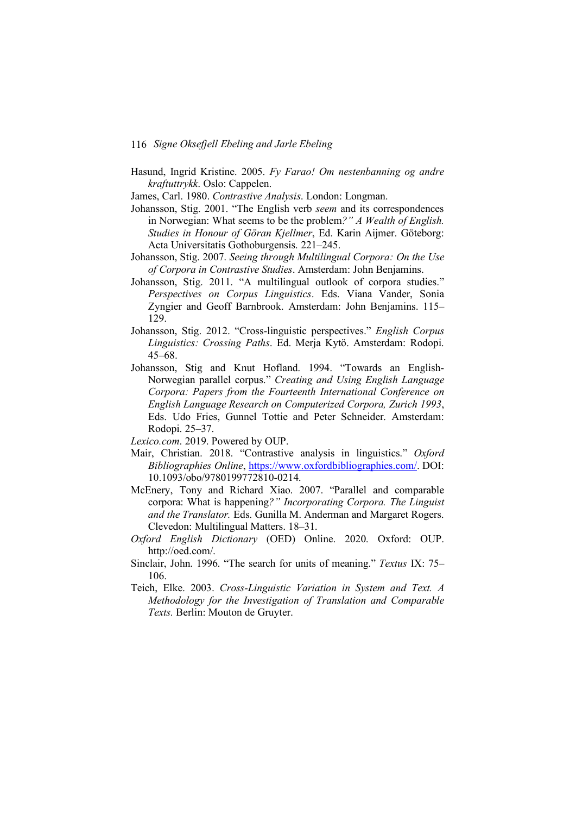Hasund, Ingrid Kristine. 2005. *Fy Farao! Om nestenbanning og andre kraftuttrykk*. Oslo: Cappelen.

James, Carl. 1980. *Contrastive Analysis*. London: Longman.

- Johansson, Stig. 2001. "The English verb *seem* and its correspondences in Norwegian: What seems to be the problem*?" A Wealth of English. Studies in Honour of Göran Kjellmer*, Ed. Karin Aijmer. Göteborg: Acta Universitatis Gothoburgensis. 221–245.
- Johansson, Stig. 2007. *Seeing through Multilingual Corpora: On the Use of Corpora in Contrastive Studies*. Amsterdam: John Benjamins.
- Johansson, Stig. 2011. "A multilingual outlook of corpora studies." *Perspectives on Corpus Linguistics*. Eds. Viana Vander, Sonia Zyngier and Geoff Barnbrook. Amsterdam: John Benjamins. 115– 129.
- Johansson, Stig. 2012. "Cross-linguistic perspectives." *English Corpus Linguistics: Crossing Paths*. Ed. Merja Kytö. Amsterdam: Rodopi. 45–68.
- Johansson, Stig and Knut Hofland. 1994. "Towards an English-Norwegian parallel corpus." *Creating and Using English Language Corpora: Papers from the Fourteenth International Conference on English Language Research on Computerized Corpora, Zurich 1993*, Eds. Udo Fries, Gunnel Tottie and Peter Schneider. Amsterdam: Rodopi. 25–37.

*Lexico.com*. 2019. Powered by OUP.

- Mair, Christian. 2018. "Contrastive analysis in linguistics." *Oxford Bibliographies Online*, https://www.oxfordbibliographies.com/. DOI: 10.1093/obo/9780199772810-0214.
- McEnery, Tony and Richard Xiao. 2007. "Parallel and comparable corpora: What is happening*?" Incorporating Corpora. The Linguist and the Translator.* Eds. Gunilla M. Anderman and Margaret Rogers. Clevedon: Multilingual Matters. 18–31.
- *Oxford English Dictionary* (OED) Online. 2020. Oxford: OUP. http://oed.com/.
- Sinclair, John. 1996. "The search for units of meaning." *Textus* IX: 75– 106.
- Teich, Elke. 2003. *Cross-Linguistic Variation in System and Text. A Methodology for the Investigation of Translation and Comparable Texts.* Berlin: Mouton de Gruyter.